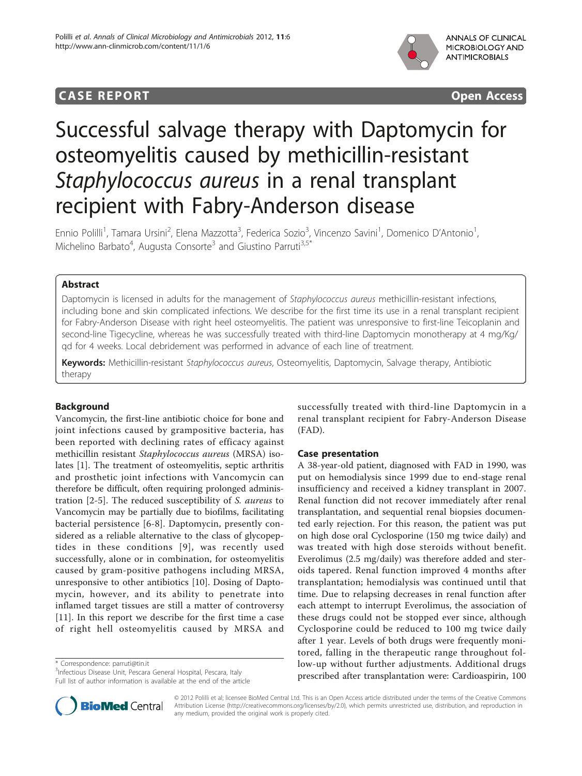## **CASE REPORT CASE REPORT CASE REPORT**



# Successful salvage therapy with Daptomycin for osteomyelitis caused by methicillin-resistant Staphylococcus aureus in a renal transplant recipient with Fabry-Anderson disease

Ennio Polilli<sup>1</sup>, Tamara Ursini<sup>2</sup>, Elena Mazzotta<sup>3</sup>, Federica Sozio<sup>3</sup>, Vincenzo Savini<sup>1</sup>, Domenico D'Antonio<sup>1</sup> , Michelino Barbato<sup>4</sup>, Augusta Consorte<sup>3</sup> and Giustino Parruti<sup>3,5\*</sup>

## Abstract

Daptomycin is licensed in adults for the management of Staphylococcus aureus methicillin-resistant infections, including bone and skin complicated infections. We describe for the first time its use in a renal transplant recipient for Fabry-Anderson Disease with right heel osteomyelitis. The patient was unresponsive to first-line Teicoplanin and second-line Tigecycline, whereas he was successfully treated with third-line Daptomycin monotherapy at 4 mg/Kg/ qd for 4 weeks. Local debridement was performed in advance of each line of treatment.

Keywords: Methicillin-resistant Staphylococcus aureus, Osteomyelitis, Daptomycin, Salvage therapy, Antibiotic therapy

## Background

Vancomycin, the first-line antibiotic choice for bone and joint infections caused by grampositive bacteria, has been reported with declining rates of efficacy against methicillin resistant Staphylococcus aureus (MRSA) isolates [[1\]](#page-4-0). The treatment of osteomyelitis, septic arthritis and prosthetic joint infections with Vancomycin can therefore be difficult, often requiring prolonged administration [[2-5](#page-4-0)]. The reduced susceptibility of S. aureus to Vancomycin may be partially due to biofilms, facilitating bacterial persistence [[6-8\]](#page-4-0). Daptomycin, presently considered as a reliable alternative to the class of glycopeptides in these conditions [[9](#page-4-0)], was recently used successfully, alone or in combination, for osteomyelitis caused by gram-positive pathogens including MRSA, unresponsive to other antibiotics [[10\]](#page-4-0). Dosing of Daptomycin, however, and its ability to penetrate into inflamed target tissues are still a matter of controversy [[11\]](#page-4-0). In this report we describe for the first time a case of right hell osteomyelitis caused by MRSA and

\* Correspondence: [parruti@tin.it](mailto:parruti@tin.it)

<sup>3</sup>Infectious Disease Unit, Pescara General Hospital, Pescara, Italy Full list of author information is available at the end of the article



## Case presentation

A 38-year-old patient, diagnosed with FAD in 1990, was put on hemodialysis since 1999 due to end-stage renal insufficiency and received a kidney transplant in 2007. Renal function did not recover immediately after renal transplantation, and sequential renal biopsies documented early rejection. For this reason, the patient was put on high dose oral Cyclosporine (150 mg twice daily) and was treated with high dose steroids without benefit. Everolimus (2.5 mg/daily) was therefore added and steroids tapered. Renal function improved 4 months after transplantation; hemodialysis was continued until that time. Due to relapsing decreases in renal function after each attempt to interrupt Everolimus, the association of these drugs could not be stopped ever since, although Cyclosporine could be reduced to 100 mg twice daily after 1 year. Levels of both drugs were frequently monitored, falling in the therapeutic range throughout follow-up without further adjustments. Additional drugs prescribed after transplantation were: Cardioaspirin, 100



© 2012 Polilli et al; licensee BioMed Central Ltd. This is an Open Access article distributed under the terms of the Creative Commons Attribution License [\(http://creativecommons.org/licenses/by/2.0](http://creativecommons.org/licenses/by/2.0)), which permits unrestricted use, distribution, and reproduction in any medium, provided the original work is properly cited.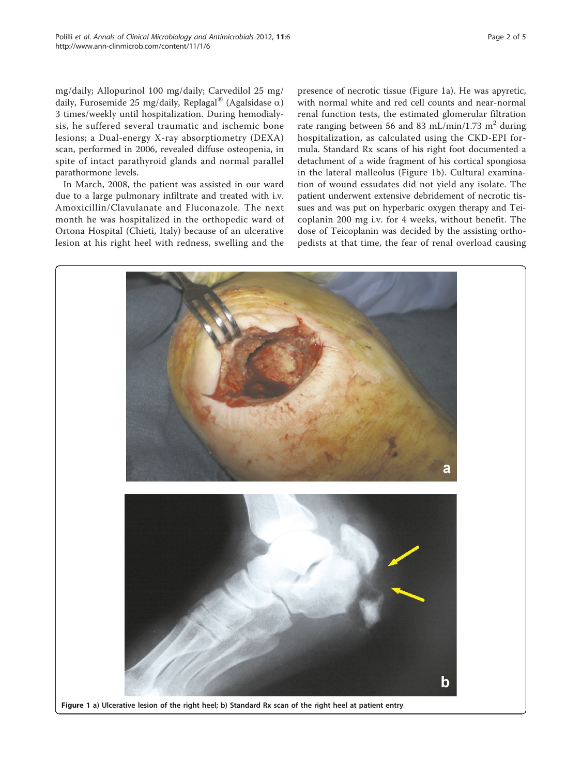mg/daily; Allopurinol 100 mg/daily; Carvedilol 25 mg/ daily, Furosemide 25 mg/daily, Replagal<sup>®</sup> (Agalsidase  $\alpha$ ) 3 times/weekly until hospitalization. During hemodialysis, he suffered several traumatic and ischemic bone lesions; a Dual-energy X-ray absorptiometry (DEXA) scan, performed in 2006, revealed diffuse osteopenia, in spite of intact parathyroid glands and normal parallel parathormone levels.

In March, 2008, the patient was assisted in our ward due to a large pulmonary infiltrate and treated with i.v. Amoxicillin/Clavulanate and Fluconazole. The next month he was hospitalized in the orthopedic ward of Ortona Hospital (Chieti, Italy) because of an ulcerative lesion at his right heel with redness, swelling and the presence of necrotic tissue (Figure 1a). He was apyretic, with normal white and red cell counts and near-normal renal function tests, the estimated glomerular filtration rate ranging between 56 and 83 mL/min/1.73 m<sup>2</sup> during hospitalization, as calculated using the CKD-EPI formula. Standard Rx scans of his right foot documented a detachment of a wide fragment of his cortical spongiosa in the lateral malleolus (Figure 1b). Cultural examination of wound essudates did not yield any isolate. The patient underwent extensive debridement of necrotic tissues and was put on hyperbaric oxygen therapy and Teicoplanin 200 mg i.v. for 4 weeks, without benefit. The dose of Teicoplanin was decided by the assisting orthopedists at that time, the fear of renal overload causing

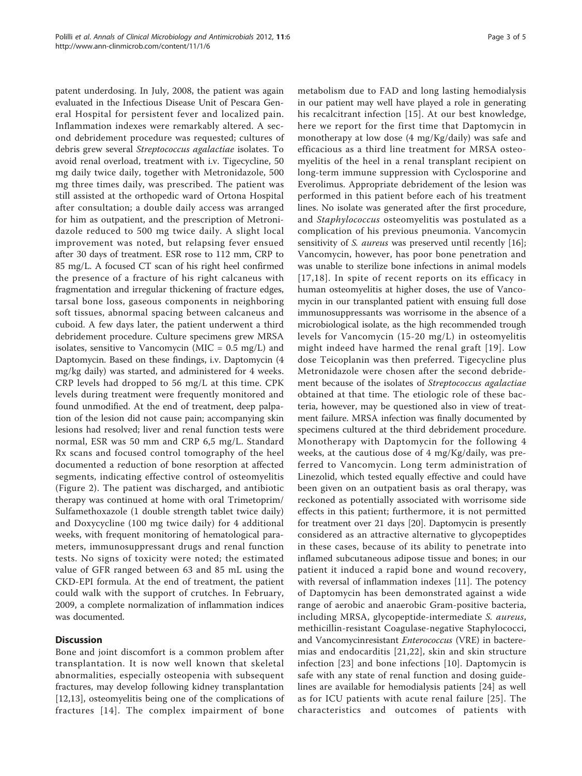patent underdosing. In July, 2008, the patient was again evaluated in the Infectious Disease Unit of Pescara General Hospital for persistent fever and localized pain. Inflammation indexes were remarkably altered. A second debridement procedure was requested; cultures of debris grew several Streptococcus agalactiae isolates. To avoid renal overload, treatment with i.v. Tigecycline, 50 mg daily twice daily, together with Metronidazole, 500 mg three times daily, was prescribed. The patient was still assisted at the orthopedic ward of Ortona Hospital after consultation; a double daily access was arranged for him as outpatient, and the prescription of Metronidazole reduced to 500 mg twice daily. A slight local improvement was noted, but relapsing fever ensued after 30 days of treatment. ESR rose to 112 mm, CRP to 85 mg/L. A focused CT scan of his right heel confirmed the presence of a fracture of his right calcaneus with fragmentation and irregular thickening of fracture edges, tarsal bone loss, gaseous components in neighboring soft tissues, abnormal spacing between calcaneus and cuboid. A few days later, the patient underwent a third debridement procedure. Culture specimens grew MRSA isolates, sensitive to Vancomycin (MIC =  $0.5 \text{ mg/L}$ ) and Daptomycin. Based on these findings, i.v. Daptomycin (4 mg/kg daily) was started, and administered for 4 weeks. CRP levels had dropped to 56 mg/L at this time. CPK levels during treatment were frequently monitored and found unmodified. At the end of treatment, deep palpation of the lesion did not cause pain; accompanying skin lesions had resolved; liver and renal function tests were normal, ESR was 50 mm and CRP 6,5 mg/L. Standard Rx scans and focused control tomography of the heel documented a reduction of bone resorption at affected segments, indicating effective control of osteomyelitis (Figure [2](#page-3-0)). The patient was discharged, and antibiotic therapy was continued at home with oral Trimetoprim/ Sulfamethoxazole (1 double strength tablet twice daily) and Doxycycline (100 mg twice daily) for 4 additional weeks, with frequent monitoring of hematological parameters, immunosuppressant drugs and renal function tests. No signs of toxicity were noted; the estimated value of GFR ranged between 63 and 85 mL using the CKD-EPI formula. At the end of treatment, the patient could walk with the support of crutches. In February, 2009, a complete normalization of inflammation indices was documented.

## **Discussion**

Bone and joint discomfort is a common problem after transplantation. It is now well known that skeletal abnormalities, especially osteopenia with subsequent fractures, may develop following kidney transplantation [[12,13](#page-4-0)], osteomyelitis being one of the complications of fractures [[14\]](#page-4-0). The complex impairment of bone

metabolism due to FAD and long lasting hemodialysis in our patient may well have played a role in generating his recalcitrant infection [[15](#page-4-0)]. At our best knowledge, here we report for the first time that Daptomycin in monotherapy at low dose (4 mg/Kg/daily) was safe and efficacious as a third line treatment for MRSA osteomyelitis of the heel in a renal transplant recipient on long-term immune suppression with Cyclosporine and Everolimus. Appropriate debridement of the lesion was performed in this patient before each of his treatment lines. No isolate was generated after the first procedure, and Staphylococcus osteomyelitis was postulated as a complication of his previous pneumonia. Vancomycin sensitivity of *S. aureus* was preserved until recently [\[16](#page-4-0)]; Vancomycin, however, has poor bone penetration and was unable to sterilize bone infections in animal models [[17](#page-4-0),[18](#page-4-0)]. In spite of recent reports on its efficacy in human osteomyelitis at higher doses, the use of Vancomycin in our transplanted patient with ensuing full dose immunosuppressants was worrisome in the absence of a microbiological isolate, as the high recommended trough levels for Vancomycin (15-20 mg/L) in osteomyelitis might indeed have harmed the renal graft [[19\]](#page-4-0). Low dose Teicoplanin was then preferred. Tigecycline plus Metronidazole were chosen after the second debridement because of the isolates of Streptococcus agalactiae obtained at that time. The etiologic role of these bacteria, however, may be questioned also in view of treatment failure. MRSA infection was finally documented by specimens cultured at the third debridement procedure. Monotherapy with Daptomycin for the following 4 weeks, at the cautious dose of 4 mg/Kg/daily, was preferred to Vancomycin. Long term administration of Linezolid, which tested equally effective and could have been given on an outpatient basis as oral therapy, was reckoned as potentially associated with worrisome side effects in this patient; furthermore, it is not permitted for treatment over 21 days [[20\]](#page-4-0). Daptomycin is presently considered as an attractive alternative to glycopeptides in these cases, because of its ability to penetrate into inflamed subcutaneous adipose tissue and bones; in our patient it induced a rapid bone and wound recovery, with reversal of inflammation indexes [\[11\]](#page-4-0). The potency of Daptomycin has been demonstrated against a wide range of aerobic and anaerobic Gram-positive bacteria, including MRSA, glycopeptide-intermediate S. aureus, methicillin-resistant Coagulase-negative Staphylococci, and Vancomycinresistant Enterococcus (VRE) in bacteremias and endocarditis [[21,22](#page-4-0)], skin and skin structure infection [[23](#page-4-0)] and bone infections [[10\]](#page-4-0). Daptomycin is safe with any state of renal function and dosing guidelines are available for hemodialysis patients [[24\]](#page-4-0) as well as for ICU patients with acute renal failure [[25](#page-4-0)]. The characteristics and outcomes of patients with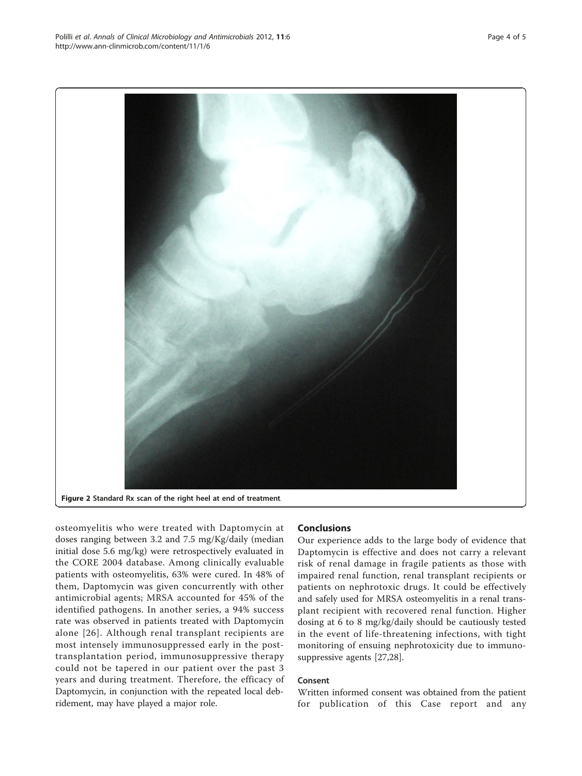osteomyelitis who were treated with Daptomycin at doses ranging between 3.2 and 7.5 mg/Kg/daily (median initial dose 5.6 mg/kg) were retrospectively evaluated in the CORE 2004 database. Among clinically evaluable patients with osteomyelitis, 63% were cured. In 48% of them, Daptomycin was given concurrently with other antimicrobial agents; MRSA accounted for 45% of the identified pathogens. In another series, a 94% success rate was observed in patients treated with Daptomycin alone [[26\]](#page-4-0). Although renal transplant recipients are most intensely immunosuppressed early in the posttransplantation period, immunosuppressive therapy could not be tapered in our patient over the past 3 years and during treatment. Therefore, the efficacy of Daptomycin, in conjunction with the repeated local debridement, may have played a major role.

#### Conclusions

Our experience adds to the large body of evidence that Daptomycin is effective and does not carry a relevant risk of renal damage in fragile patients as those with impaired renal function, renal transplant recipients or patients on nephrotoxic drugs. It could be effectively and safely used for MRSA osteomyelitis in a renal transplant recipient with recovered renal function. Higher dosing at 6 to 8 mg/kg/daily should be cautiously tested in the event of life-threatening infections, with tight monitoring of ensuing nephrotoxicity due to immunosuppressive agents [\[27,28](#page-4-0)].

### Consent

Written informed consent was obtained from the patient for publication of this Case report and any

<span id="page-3-0"></span>